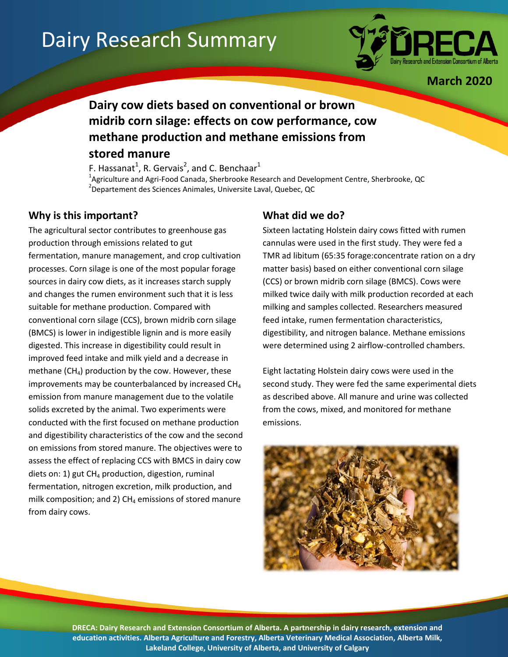# Dairy Research Summary



**March 2020**

## **Dairy cow diets based on conventional or brown midrib corn silage: effects on cow performance, cow methane production and methane emissions from stored manure**

F. Hassanat<sup>1</sup>, R. Gervais<sup>2</sup>, and C. Benchaar<sup>1</sup> <sup>1</sup>Agriculture and Agri-Food Canada, Sherbrooke Research and Development Centre, Sherbrooke, QC 2 Departement des Sciences Animales, Universite Laval, Quebec, QC

### **Why is this important?**

The agricultural sector contributes to greenhouse gas production through emissions related to gut fermentation, manure management, and crop cultivation processes. Corn silage is one of the most popular forage sources in dairy cow diets, as it increases starch supply and changes the rumen environment such that it is less suitable for methane production. Compared with conventional corn silage (CCS), brown midrib corn silage (BMCS) is lower in indigestible lignin and is more easily digested. This increase in digestibility could result in improved feed intake and milk yield and a decrease in methane  $(CH<sub>4</sub>)$  production by the cow. However, these improvements may be counterbalanced by increased  $CH<sub>4</sub>$ emission from manure management due to the volatile solids excreted by the animal. Two experiments were conducted with the first focused on methane production and digestibility characteristics of the cow and the second on emissions from stored manure. The objectives were to assess the effect of replacing CCS with BMCS in dairy cow diets on: 1) gut  $CH_4$  production, digestion, ruminal fermentation, nitrogen excretion, milk production, and milk composition; and 2)  $CH<sub>4</sub>$  emissions of stored manure from dairy cows.

#### **What did we do?**

Sixteen lactating Holstein dairy cows fitted with rumen cannulas were used in the first study. They were fed a TMR ad libitum (65:35 forage:concentrate ration on a dry matter basis) based on either conventional corn silage (CCS) or brown midrib corn silage (BMCS). Cows were milked twice daily with milk production recorded at each milking and samples collected. Researchers measured feed intake, rumen fermentation characteristics, digestibility, and nitrogen balance. Methane emissions were determined using 2 airflow-controlled chambers.

Eight lactating Holstein dairy cows were used in the second study. They were fed the same experimental diets as described above. All manure and urine was collected from the cows, mixed, and monitored for methane emissions.



**DRECA: Dairy Research and Extension Consortium of Alberta. A partnership in dairy research, extension and education activities. Alberta Agriculture and Forestry, Alberta Veterinary Medical Association, Alberta Milk, Lakeland College, University of Alberta, and University of Calgary**